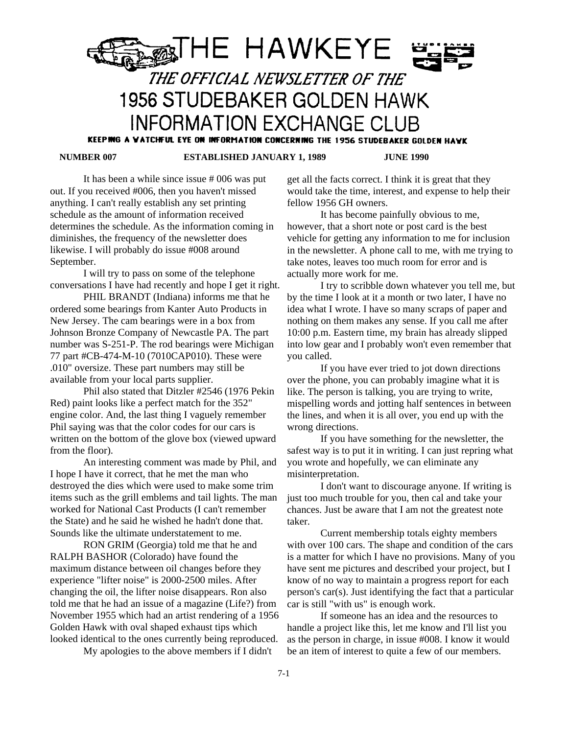

KEEPING A WATCHFUL EYE ON INFORMATION CONCERNING THE 1956 STUDEBAKER GOLDEN HAWK

 **NUMBER 007 ESTABLISHED JANUARY 1, 1989 JUNE 1990**

It has been a while since issue # 006 was put out. If you received #006, then you haven't missed anything. I can't really establish any set printing schedule as the amount of information received determines the schedule. As the information coming in diminishes, the frequency of the newsletter does likewise. I will probably do issue #008 around September.

I will try to pass on some of the telephone conversations I have had recently and hope I get it right.

PHIL BRANDT (Indiana) informs me that he ordered some bearings from Kanter Auto Products in New Jersey. The cam bearings were in a box from Johnson Bronze Company of Newcastle PA. The part number was S-251-P. The rod bearings were Michigan 77 part #CB-474-M-10 (7010CAP010). These were .010" oversize. These part numbers may still be available from your local parts supplier.

Phil also stated that Ditzler #2546 (1976 Pekin Red) paint looks like a perfect match for the 352" engine color. And, the last thing I vaguely remember Phil saying was that the color codes for our cars is written on the bottom of the glove box (viewed upward from the floor).

An interesting comment was made by Phil, and I hope I have it correct, that he met the man who destroyed the dies which were used to make some trim items such as the grill emblems and tail lights. The man worked for National Cast Products (I can't remember the State) and he said he wished he hadn't done that. Sounds like the ultimate understatement to me.

RON GRIM (Georgia) told me that he and RALPH BASHOR (Colorado) have found the maximum distance between oil changes before they experience "lifter noise" is 2000-2500 miles. After changing the oil, the lifter noise disappears. Ron also told me that he had an issue of a magazine (Life?) from November 1955 which had an artist rendering of a 1956 Golden Hawk with oval shaped exhaust tips which looked identical to the ones currently being reproduced.

My apologies to the above members if I didn't

get all the facts correct. I think it is great that they would take the time, interest, and expense to help their fellow 1956 GH owners.

It has become painfully obvious to me, however, that a short note or post card is the best vehicle for getting any information to me for inclusion in the newsletter. A phone call to me, with me trying to take notes, leaves too much room for error and is actually more work for me.

I try to scribble down whatever you tell me, but by the time I look at it a month or two later, I have no idea what I wrote. I have so many scraps of paper and nothing on them makes any sense. If you call me after 10:00 p.m. Eastern time, my brain has already slipped into low gear and I probably won't even remember that you called.

If you have ever tried to jot down directions over the phone, you can probably imagine what it is like. The person is talking, you are trying to write, mispelling words and jotting half sentences in between the lines, and when it is all over, you end up with the wrong directions.

If you have something for the newsletter, the safest way is to put it in writing. I can just repring what you wrote and hopefully, we can eliminate any misinterpretation.

I don't want to discourage anyone. If writing is just too much trouble for you, then cal and take your chances. Just be aware that I am not the greatest note taker.

Current membership totals eighty members with over 100 cars. The shape and condition of the cars is a matter for which I have no provisions. Many of you have sent me pictures and described your project, but I know of no way to maintain a progress report for each person's car(s). Just identifying the fact that a particular car is still "with us" is enough work.

If someone has an idea and the resources to handle a project like this, let me know and I'll list you as the person in charge, in issue #008. I know it would be an item of interest to quite a few of our members.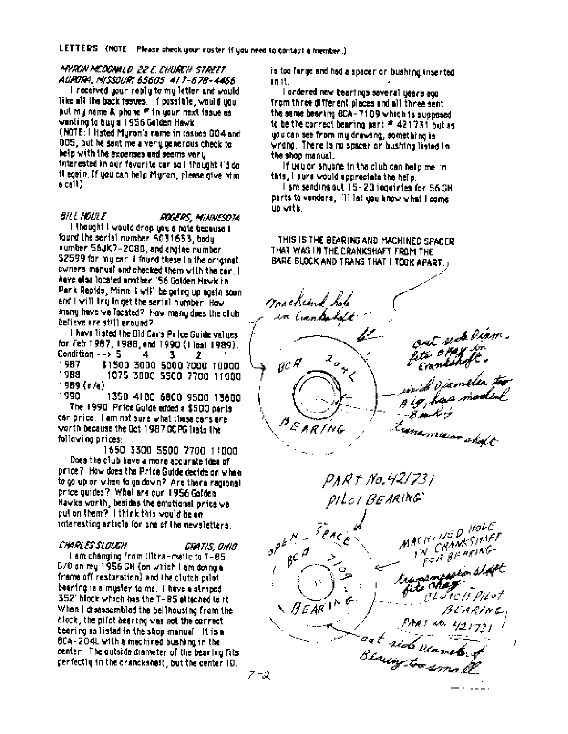LETTERS (NOTE Please check your roster if you need to contact a member.)

MYRON MCDONALD 22 E. CHURCH STREET AURORA, MISSOURI 65605 417-678-4466

I received your reply to my letter and would like all the back feaves. If possible, would you put my name & phane F in your next issue as wanting to buy a 1956 Golden Hawk (NOTE: I listed Myron's name in tastics 004 and 005, but he sent me a very generous check to help with the expenses and seems vary Interested in our fevorite car so I thought tid do it egein. If you can help Muron, please give him  $6<sub>crit</sub>$ )

BILL HOULE ROGERS, MINNESDTA I thought I would drop you a note because I found the serial number 6031653, body number 56JK7-2080, and angine number S2599 for my car. I found these in the original owners manual and chacked them with the car. I have also located another. 'S6 Golden Hawk in Park Rapids, Minn I will be poing up again soon and I will ling to get the senial number. How many have we focated? How many does the club celieve are still around?

I have listed the Old Cars Price Guide values. for Feb 1987, 1988, and 1990 (1 leat 1989). Condition  $\rightarrow$  5 4 з 2 1987 \$1500 3000 5000 7000 10000 1988 1075 3000 5500 7700 11000 1989 (n/a)

1350 4100 6800 9500 13600 1990 The 1990 Price Guide edded a \$500 parts can price. I am not sure what these cans are worth because the Oct 1987 OCPG liabs the following prices:

1650 \$300 5500 7700 11000 Does the club have a more accurate idea of price? How does the Price Guide decide on when to colup on when to go down? Are there regional price guides? What are our 1956 Golden Hawks worth, besides the emotional price we put on them? I think this would be en interesting article for one of the newsletters.

### **CHARTS SLOUGH**

Gratis, onio I am changing from Ultra-matic to T-85 670 on my 1956 GH (on which I am doing a frame off restoration) and the clutch pilot bearing is a muster to me. I have a striped 352' block which has the T-85 etteched to it When I disassembled the bell housing from the block, the pilot bearing was not the correct bearing as listed in the shop manual. It is a BCA-204L with a mechined bushing in the center. The outside diameter of the bearing fits perfectly in the cranckshaft, but the center 10.

is too ferge and had a spacer or bushing inserted in it.

I ordered new beartings several years ago from three different places and all three sent. the same bearing BCA-7109 which is supposed to be the correct bearing part # 421731 but as udu can see from my drawing, something is wrong. There is no spacer or bushing listed in the shop manual.

If usuar shuche in the club can help me in this, I sure would appreciate the help.

i am sending out 15-20 inquiries for 56 GH parts to vendors. I'll let you know what I come un with.

THIS IS THE BEARING AND MACHINED SPACER THAT WAS IN THE CRANKSHAFT FROM THE BARE BLOCK AND TRANS THAT I TOOK APART.7

macking hole in Cunkelet 4!  $\lambda_{\sigma}$  $\mathcal{C}^{\mathcal{A}}$ EARING tranamician shalt PAR † No.421731 PILOT BEARING MACHINED HOLE  $e^{\rho E \frac{N}{2}}$ **CRAMESIME**T FOR BEARING  $b^{c^{\mathcal{A}}}$ transmeastor shart fits chair etutell Pitot  $B E \overline{A} R$ <sup>N</sup> PART 10. 1/217 BEARINE,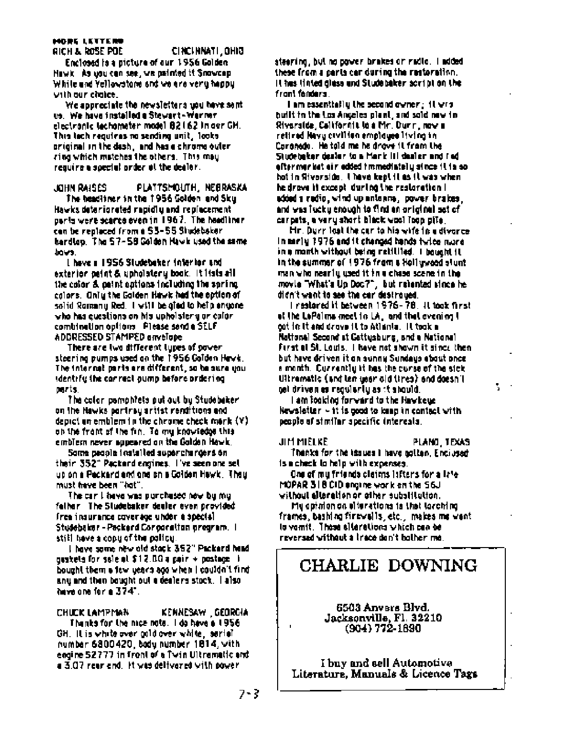### **MORE LETTERS** RICH & ROSE POE

CINCINNATI, OHIO

Enclosed is a picture of our 1956 Golden. Hawk. As you can see, we painted it Snowcap. While and Yellowstone and we are very happy. with our chaige.

We appreciate the newsletters upu have sent us. We have installed a Stewart-Warner electronic techometer model 82162 in our GH. This lach requires no sending unit, looks original in the dash, and has a chrome outer ring which matches the others. This may require a special proter at the dealer.

PLATTSMOUTH, NEERASKA JOHN RAISES The headliner in the 1956 Golden, and Sky Hawks deteriorated repidly and replacement parts were scarce even in 1967. The headling r can be replaced from a 53-55 Studeboker hardlop. The 57-58 Golden Hawk used the same. bova.

I have a 1956 Studebaker interior and exterior paint & upholotery book. It lists all the color & paint options including the spring colors. Only the Golden Hawk had the option of solid Ramany Red. I will be gird to help enyone. who has questions on his upholstery or color. combination options Please send a SELF ADDRESSED STAMPED envelope

There are live different lippes of power steering pumps used on the 1956 Golden Havk. The internal parts are different, so be sure you. identify the correct oump before proering. parts.

The color pomphiels put out by Studebeker. on the Hawks partirsy artist renditions and depict on emblem in the chrome check mork  $(Y)$ on the frant of the fin. To my knowledge this emblem never appeared on the Golden Hawk.

Some people installed superchargers on their 352" Packard engines. I've seen one set up on a Peckard and one on a Golden Hewk, They must have been "hot".

The car I have was purchased new by my faller The Sludebaker dealer even provided free insurance coverage under a special Studebaker - Packerd Concoration program. I still have a copy of the policy.

I have some new old stock 352" Packerd hand ouskels for sale at \$12.00 a pair + postage ii bought them a few years ago when I couldn't find any and then bought out a dealers stock. | also have one for a 374".

CHUCK LAMPMAN KENNESAW GEORGIA Thanks for the nice note. I do have a 1956  $GH$ . It is white over cold over white, sarial number 6800420, body number 1814, with engine 52.777 in front of a Twin Ultrematic and a 3.07 rear end. It was delivered with power

steering, but no power brakes or radio. I added these from a parts can during the nectoration. It has linted class and Studebaker script on the front fenders.

I am essentially the second owner; it wisbuilt in the Los Angeles plant, and sold new in-Riverside, California lo a Mr. Durr, now a retired Navy civilian employee living in Coronedo. He tald me he drove it from the Sludebaker desier to a Mark III dealer and I ed. efter mer ket ein edded fmmediatelly since it is sohot in Riverside. I have kept it as it was when he drown it except, during the realoration is added a redio, wind up antenne, power brakes, and was fucky enough to find an original set of carpats, a very short black wool Toop pite,

Mr. Durr last the car to his wife in a divorce. in mariy 1976 and it changed hands tyles nure. in a manth without being relitited. I bought it in the summer of 1976 from a Hollywood stunt man who nearly used it in a chase scene in the movie "What's Up Doc?", but relented since he didn't want to see the car destroyed.

i rasioned it between 1976-78. It took first of the LoPalms meet in LA, and that evening t got in it and drove it to Atlania. It took a National Second at Gattysburg, and a National First al St. Louis. I have not shown it since then but have driven it on sonny Sundays about once a month. Currently it has the curse of the sick. Ultrematic (and ten weer old tires) and doesn't get driven as regularly as it should.

N.

I am fooking forward to the Hawkeye. Newsletter  $\sim$  it is good to long in contact with people of stimiliar specific interesis.

JIM MIELKE PLAND, TEXAS Thanks for the issues I have gollan, Enclosed is a check to help with expenses.

One of my friends claims lafters for a late. MOPAR 318 CID engine work on the S6J without alteration or other substitution.

My aphrion on eiterations is that larching. frames, bashing firewalls, etc., makes me want. la vamit. Thase siterations which can be reversed without a trace don't bother me.

## CHARLIE DOWNING

6503 Anvers Blvd. Jacksonville, Fl. 32210  $(904) 772 - 1890$ 

I buy and sell Automotive Literature, Manuals & Licence Tags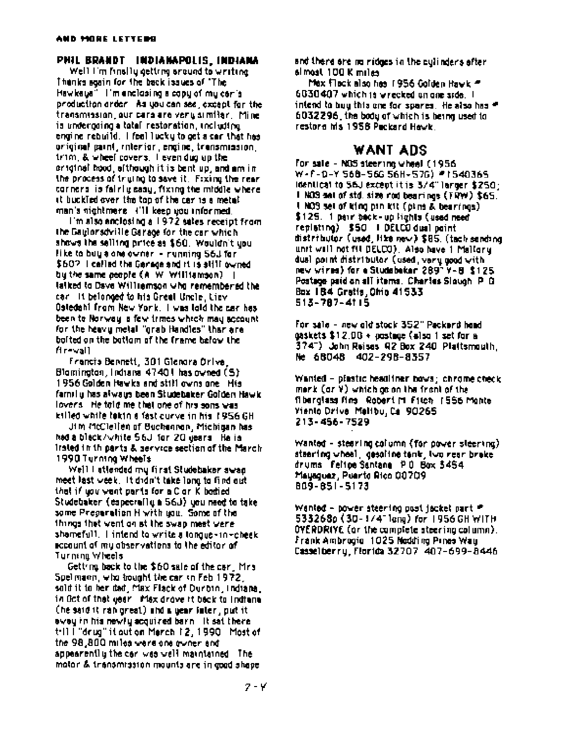### PHIL BRANDT INDIANAPOLIS, INDIANA

Well I'm finally getting around to writing Thanks soain for the back issues of "The Hawkeus" l'mienclasing a copulatimu caris production arder his you can see, except for the transmission, our cars are venusimitar. Mineis underpoing a total restoration, including engine rebuild. I feel lucky to get a car that has original paint, interior, engine, transmission, trim, & wheel covers. I even dug up the or iginal hood, although it is bent up, and am inthe process of trutho to save it. Fixing the rear corners is fairly easy, fixing the middle where it buckled over the top of the car is a metal man's nightmere ('Il keep you informed.

I'm also anclosing a 1972 sales receipt from the Gaulorsdyille Garage for the car which shows the selling price as \$60. Wouldn't upulike to buy a one owner - nunning 56.1 for \$60? I called the Garage and it is still owned by the same people (A W Williamson) | laiked to Dave Williamson who remembered the car Int belonged to his Great Uncle, Lievi Ostedahl from New York. I was told the car has been to Norway, a few trimes which may account. for the heavy metal "grab Handles" than are boited on the bottom of the frame below the fire vall

Francis Bennett, 301 Glendra Orlye, Blamington, Indiana 47401 has owned (S) 1956 Golden Hawks and still owns one. His familly has always been Studebaker Golden Hawk. lovers. He told me that one of his sons was killed while lakin a fast curve in his 1956 GH.

Jim McClellen of Buchenron, Michigan has had a black/white 56J for 20 years. Ha is Irsted in thiparts & service section of the March. 1990 Turning Wheels

Well I atlended my first Studebaker swan meet last week. It didn't take long to find out that if you want parts for a C or K bodied Studebaker (especrafiu à 56J) you need to take. some Preparation H with you. Some of the things that went on at the swap meet were. shamefull. I intend to write a longue-in-cheek. account of my observations to the editor of Turning Wheels

Getting back to the \$60 sale of the car. Mrs. Spelmann, who hought the car in Feb 1972. sold it to her dad, Max Flack of Durbin, Indiana. in Oct of that year. Max drove it back to indianal (he said it ran great) and a gear fater, put it ewey in his newly acquired barn . It sat there till i "drug" it out on Merch 12, 1990 Most of the 98,800 miles were one eviter and appearently the car was well maintained. The motor & transmission mounts are in good shape.

and there are no ridges in the culinders after. simost 100 K miles

Max Flack also has 1956 Golden Bayk = 6030407 which is wrecked an one side. I intend to buy this one for spares. He also has # 6032296, the body of which is being used to restore Ms 1958 Packard Hewk.

### WANT ADS

For sale - NOS steering wheel (1956) W-F-D-Y 568-566 56H-576) #1540365 identical to 56J except it is 3/4" larger \$250. I NOS set of std. size rod bearings (TRW) \$65. I NOS set of king pan kit (plms & bearings). \$125. 1 pair back-up lights (used need) replating) \$50 | DELCO dual point distributor (used, like new) \$85. (tach sending, unit will not fit DELCO). Also have 1 Malloru. dual coint distributor (used, very good with new wires) for a Studebaker 289" Y-B \$125. Postage paid on all items. Charles Slough P G. Box 184 Gratis, Ohio 41533 513-787-4115

For sale - new old stock 352" Packerd hand  $0$ askets \$12.00 +  $0$ ostmae (also 1 set for a 374") John Reises 42 Box 240 Plattsmouth. Ne 68048 402-298-8357

Wanted - plastic headliner bows; chrome check merk  $(ar Y)$  which as an the front of the fiberglass fins Robert M Fitch 1556 Monte Yianto Drive, Malibu, Ca. 90265. 213-456-7529

Wanted - stearing column (for power steering). stearing wheel, gesoline tenk, two near brake drums Feltoe Santane PO Box 3454 Mausquez, Puerto Rico 00709 809-851-5173

Wanted - power steering past jacket part # 533268p (30-1/4" leng) for 1956 GH WITH OYERDRIYE (or the complete steering column). Frank Ambrogio, 1025 Nodding Pines Way Casselberry, Florida 32707 407-699-8446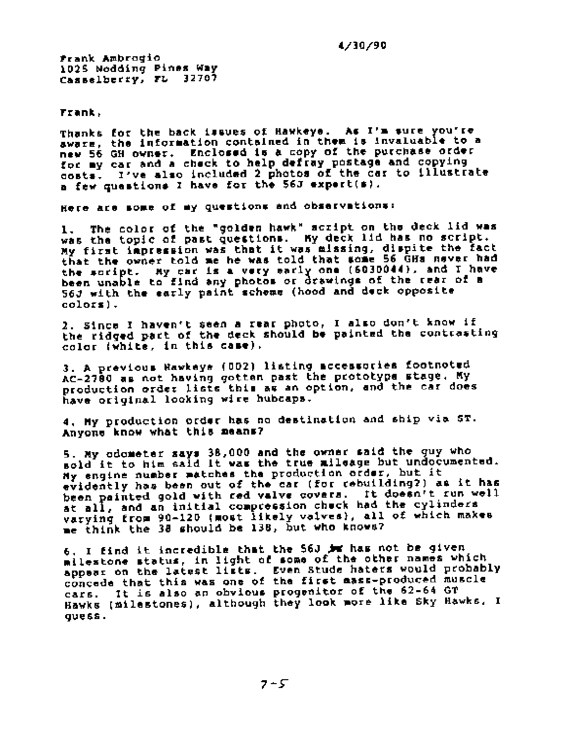4/30/90

frank Ambrogio 1025 Nodding Pines Way Casselberry, FL 32707

Frank,

Thanks for the back issues of Hawkeye. As I'm sure you're aware, the information contained in them is invaluable to a new 56 GH owner. Enclosed is a copy of the purchase order for my car and a check to help defray postage and copying costs. I've also included 2 photos of the car to illustrate a few questions I have for the 56J expert(s).

Here are some of my questions and observations:

The color of the "golden hawk" script on the deck lid was 1. was the topic of past questions. My deck lid has no script. My first impression was that it was missing, dispite the fact<br>that the owner told me he was told that some 56 GHs never had the script. My car is a very early one (6030044), and I have been unable to find any photos or drawings of the rear of a 56J with the early paint scheme (hood and deck opposite colors).

2. Since I haven't seen a rear photo, I also don't know if the ridged part of the deck should be painted the contrasting color (white, in this case).

3. A previous Hawkeys (002) listing accessories footnoted AC-2780 as not having gotten past the prototype stage. My production order lists this as an option, and the car does have original looking wire hubcaps.

4. My production order has no destination and ship via ST. Anyone know what this means?

5. My odometer says 38,000 and the owner said the guy who sold it to him said it was the true mileage but undocumented. My engine number matches the production order, but it evidently has been out of the car (for rebuilding?) as it has been painted gold with red valve covers. It doesn't run well<br>at all, and an initial compression chuck had the cylinders varying from 90-120 (most likely valves), all of which makes me think the 38 should be 138, but who knows?

6. I find it incredible that the 56J im has not be given milestone status, in light of some of the other names which appear on the latest lists. Even Stude haters would probably concede that this was one of the first mass-produced muscle cars. It is also an obvious progenitor of the 62-64 GT Hawks (milestones), although they look more like Sky Hawks. I quess.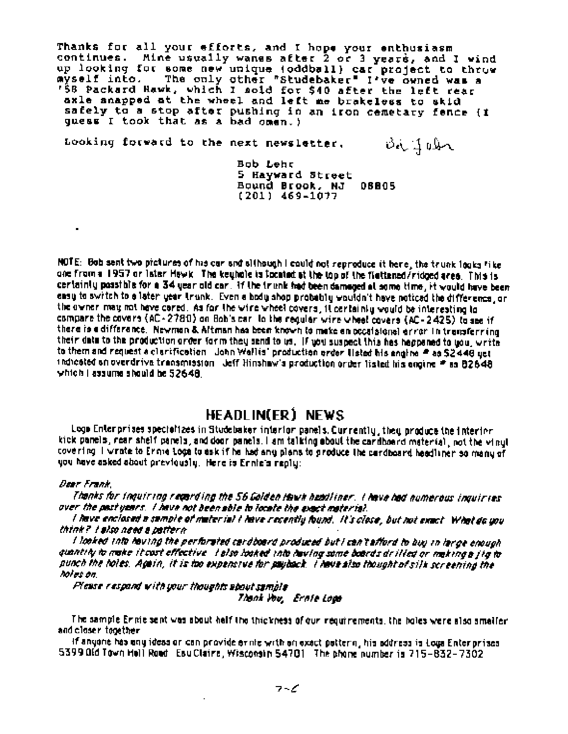Thanks for all your efforts, and I hope your enthusiasm continues. Mine usually wanes after 2 or 3 years, and I wind up looking for some new unique (oddball) car project to thruw ayself into. The only other "Studebaker" I've owned was a<br>'58 Packard Hawk, which I sold for \$40 after the left rear avself into. axle snapped at the wheel and left me brakeless to skid safely to a stop after pushing in an iron cemetary fence (I quess I took that as a bad omen.)

Looking forward to the next newsletter, Bi John

> Bob Lehr 5 Hayward Street Bound Brook, NJ 06805  $(201)$  469-1077

NOTE: Bob sent two pictures of his car and although I could not reproduce it here, the trunk logics hike one from a 1957 or later Hewk. The keuhole is focated at the top of the flettened/ridged area. This is certainty possible for a 34 year old car. If the trunk had been damaged at some time, it would have been casu to switch to a later vear trunk. Even a body shop probably wouldn't have noticed the difference, or the owner may not have cored. As for the wire wheel covers, it certainly would be interesting to compare the covers (AC-2780) on Bob's car, to the regular wire wheel covers (AC-2425) to see if there is a difference. Newman & Altman has been known to make an occalsional error in transferring their data to the production order form they send to us. If you suspect this has happened to you, write to them and request a clarification I John Wollis' production arder listed his engine # as \$2448 get indicated an overdrive transmission deff Hinshaw's production order listed his angine # as 82648 which I assume should be 52648.

### HEADLINGER) NEWS

Loge Enterprises specializes in Studebaker interior panels. Currently, they produce the interior kick panels, rear shelf panels, and door panels. I am talking about the cardboard material, not the vinut covering I wrate to Erme Logs to ask if he had any plans to produce the cardboard headliner so many of you have asked about previously. Here is Ennie's reply:

### Dear Frank.

 $\overline{a}$ 

Thanks for thouiring regarding the 56 Golden Hawk headliner. I have had numerous inquiries over the pastypars. I have not been able to locate the exact material.

I have enclosed a sample of mater ia! I have recently found. It's close, but not exact. What do you think? I slso need a pattern

I looked tale hoving the perforated cardboard produced but I can't afford to buy in large enough quantity to make it cost effective. I also looked into having some boards drilled or making a jig to punch the toles. Again, it is too expensive for payback. I have siso thought of silk screening the hoies on.

Please respond with your thoughts about sample

Thank You, Ernie Loan

The sample Ennie sent was about half the thickness of our requirements, the holes were also smaller. and closer together

If anyone has any ideas or can provide erine with an exact pattern, his address is Loga Enterprises. 5399 Old Town Hell Road Esu Claire, Wisconsin 54701 The phone number is 715-832-7302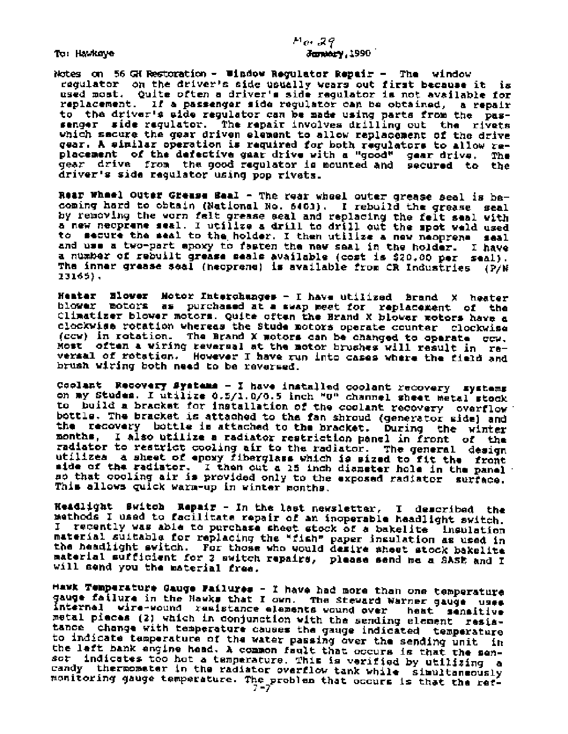To: Hawkeye

 $H_0, 29$ January, 1990

Notes on 56 GH Restoration - Window Regulator Repair - The window regulator on the driver's side usually wears out first because it is used most. Quite often a driver's side regulator is not available for replacement. If a passenger side requlator can be obtained, a repair to the driver's side regulator can be made using parts from the passenger side regulator. The repair involves drilling out the rivets which sacure the gear driven element to allow replacement of the drive gear. A similar operation is required for both regulators to allow replacement of the defective gaar drive with a "good" gear drive. The gear drive. The driver's side regulator using pop rivets.

Rear Wheel Outer Grease Beal - The rear wheel outer grease seal is bacoming hard to obtain (National No. 5403). I rebuild the grease seal by removing the worn felt grease seal and replacing the felt seal with a new neoprene seal. I utilize a drill to drill out the spot weld used to secure the seal to the holder. I then utilize a new neoprene seal and use a two-part epoxy to fasten the new seal in the holder. I have a number of rebuilt grease seals available (cost is \$20.00 per seal). The inner grease seal (neoprene) is available from CR Industries (P/N 13165),

Heater Blower Motor Interchanges - I have utilized Brand X heater blower motors as purchased at a swap meet for replacement of the Climatizer blower motors. Quite often the Brand X blower motors have a clockwise rotation whereas the Stude motors operate counter clockwise (CCW) in rotation. The Brand X motors can be changed to operate ccw. Most often a wiring reversal at the motor brushes will result in reversal of rotation. However I have run into cases where the field and brush witing both need to be reversed.

Coolant Recovery Systems - I have installed coolant recovery systems on my Studes. I utilize 0.5/1.0/0.5 inch "U" channel sheet metal stock to build a bracket for installation of the coolant recovery overflow bottle. The bracket is attached to the fan shroud (generator side) and the recovery bottle is attached to the bracket. During the winter months, I also utilize a radiator restriction panel in front of the radiator to restrict cooling air to the radiator. The general design utilizes a sheet of epoxy fiberglass which is sized to fit the front side of the radiator. I then cut a 15 inch diameter hole in the panel so that cooling air is provided only to the exposed radiator surface. This allows quick warm-up in winter months.

Headlight Switch Repair - In the last newsletter, I described the methods I used to facilitate repair of an inoperable headlight switch. I recently was able to purchase sheet stock of a bakelite insulation material suitable for replacing the "fish" paper insulation as used in<br>the headlight switch. For those who would desire sheet stock bakelite material sufficient for 2 switch repairs, please send me a SASE and I will send you the material free.

Hawk Temperature Gauge Failures - I have had more than one temperature gauge failure in the Hawks that I own. The Steward Warner gauge uses internal wire-wound remistance elements wound over heat sensitive metal pieces (2) which in conjunction with the sending element resistance change with temperature causes the gauge indicated temperature to indicate temperature of the water passing over the sending unit in the left bank engine head. A common fault that occurs is that the sensor indicates too hot a temperature. This is verified by utilizing a candy thermometer in the radiator overflow tank while simultaneously monitoring gauge temperature. The problem that occurs is that the ref-<br> $7-7$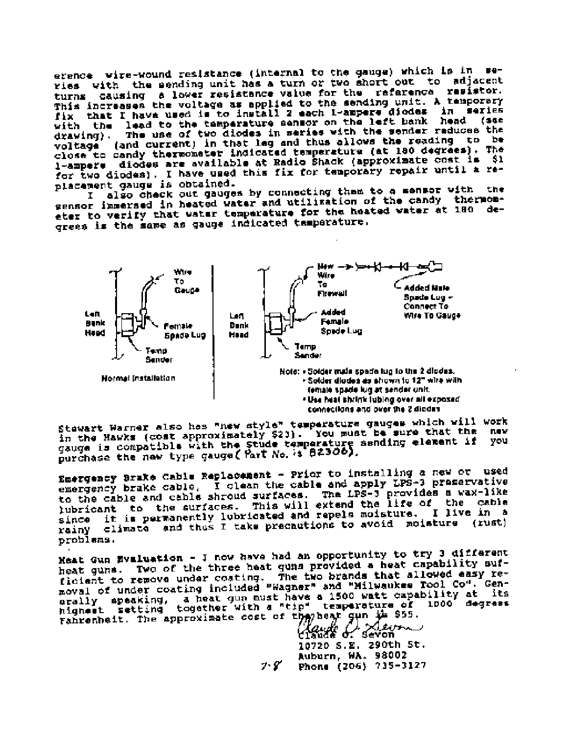erence wire-wound resistance (internal to the gauge) which is in series with the sending unit has a turn or two short out to adjacent turns causing a lower resistance value for the reference resistor. This increases the voltage as applied to the sending unit. A temporary<br>fix that I have used is to install 2 each 1-ampere diodes in series with the lead to the temperature sensor on the left bank head (sae The use of two diodes in series with the sender reduces the  $drawlnq$ ). (and current) in that leg and thus allows the reading to be voltage close to candy thermometer indicated temperature (at 180 degrees). The l-ampere diodes are available at Radio Shack (approximate cost is \$1 for two diodes). I have used this fix for temporary repair until a replacement gauge is obtained.

also check out gauges by connecting than to a mensor with the Ι. gensor impersed in heated water and utilization of the candy thermometer to verify that water temperature for the heated water at 180 degrees is the same as gauge indicated temperature.



Stewart Warner also has "new style" temperature gauges which will work in the Hawks (cost approximately \$23). You must be sure that the<br>gauge is compatible with the Stude temperature sending element if<br>purchase the new type gauge (Part No. is 82300). you

Emergency Brake Cable Replacement - Prior to installing a new or used emergency brake cable. I clean the cable and apply LPS-3 preservative to the cable and cable shroud surfaces. The LPS-J provides a wax-like<br>lubricant to the surfaces. This will extend the life of the cable since it is permanently lubricated and repels moisture. I live in a rainy climate and thus I take precautions to avoid moisture (rust) problems.

Heat Gun Evaluation - I now have had an opportunity to try 3 different heat guns. Two of the three heat guns provided a heat capability sufficient to remove under costing. The two brands that allowed easy removal of under coating included "Wagner" and "Milwaukee Tool Co". Generally speaking, a heat gun must have a 1500 watt capability at its<br>highest setting together with a "tip" temperature of 1000 degress Fahrenheit. The approximate cost of the heat gun the \$55.<br>Claude of Seven

10720 S.E. 290th St. Auburn, WA. 98002 Phone (206) 735-3127  $7 - 8$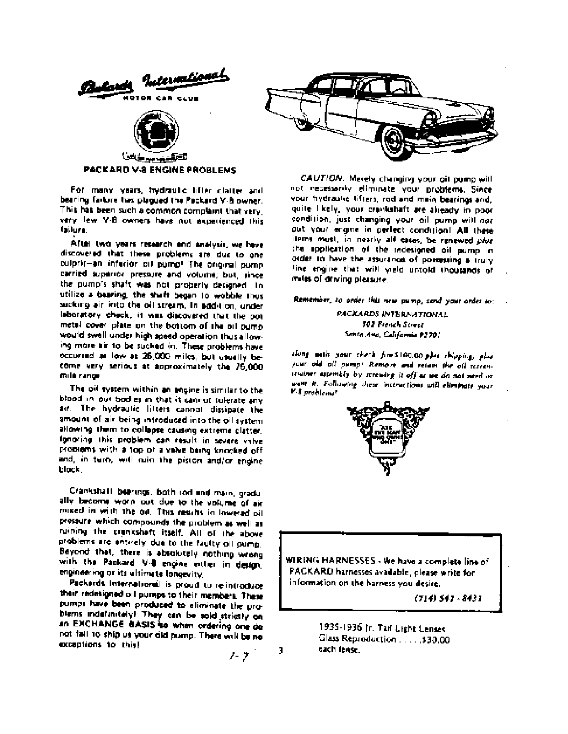



PACKARD V-8 ENGINE PROBLEMS

For many years, hydraulic lifter clatter and bearing failure has plagued the Packard V-8 owner. This has been such a common complaint that very. very few V-B owners have not experienced this failura.

After two years research and analysis, we have discovered that these problems are due to one culprit-an inferior oil pump! The original pump carried superior pressure and volume; but, since the pump's shaft was not properly designed to utilize a bearing, the shaft began to wobble thus sucking air into the oil stream. In addition, under laboratory check, it was discovered that the pot metal cover plate on the bottom of the oil pump. would swell under high speed operation thus allowing more air to be sucked in. These problems have occurred as low as 25,000 miles, but usually become very serious at approximately the 75,000 mile range.

The oil system within an engine is similar to the blood in our bodies in that it cannot tolerate any air. The hydraulic lifters cannot dissipate the amount of air being introduced into the oil system allowing them to collapse causing extreme clatter. Ignoring this problem can result in severe valve problems with a top of a valve baing knocked off and, in turn, will ruin the piston and/or engine block.

Crankshaft beerings, both rod and main, gradually become worn out due to the volume of air miked in with the oil. This results in lowered oil pressure which compounds the problem as well as ruining the crenkshaft itself. All of the above problems are entirely due to the faulty oil pump. Beyond that, there is absolutely nothing wrong with the Packard V-B engine either in design, engineering or its ultimate longevity.

Packerds International is proud to re-introduce their redesigned oil pumps to their members. These pumps have been produced to eliminate the problems indefinitely! They can be sold strictly on an EXCHANGE BASIS so when ordering one do not fail to ship us your old pump. There will be no exceptions to this!



CAUTION. Merely changing your oil pump will not necessarily eliminate your problems. Since your hydraulic lifters, rod and main bearings and, quite likely, your crankshaft are already in poor condition, just changing your oil pump will not put your engine in perfect condition! All these items must, in nearly all cases, be renewed plut the application of the redesigned oil pump in order to have the assurance of possessing a truly line engine that will yield untold thousands of miles of driving pleasure.

Remember, to order this new pump, send your order to:

PACKARDS INTERNATIONAL 302 French Street Santa Ana, California 92701

slong with your check fire \$100.00 plus shipping, plus your old oil pump! Remove and retain the oil screenstrainer assembly by screwing it off as we do not need or want it. Following these instructions will eliminate your V 8 problems"



WIRING HARNESSES - We have a complete line of PACKARD harnesses available, please write for information on the harness you desire.

(714) 541 - 8431 -

1935-1936 Jr. Tail Light Lenses. Glass Reproduction . . . . . \$30.00 each lense.

フーラー

3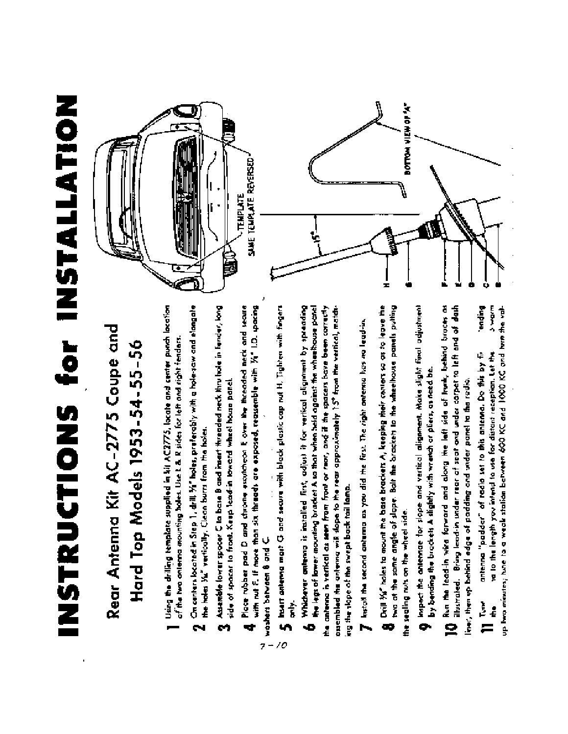# INSTRUCTIONS for INSTALLATION

## Rear Antenna Kit AC-2775 Coupe and Hard Top Models 1953-54-55-56

- Using the drilling template supplied in hit AC2775, locate and center punch location of the two onlering mounting holes. Use I. & R sides for left and right fenders.
- On centers located in Step 1, drill  $\tilde{Y}_1$  holes, preferably with a hote-saw and elangate the holes Ya" vertically. Clean burn from the holes. N
- Assemble fower spacer C to base B and insert threaded neck thru hate in funder, long side of spacer to front. Keep lead-in toward wheel house panel. ø
- with rul F. If more than six threads are exposed, reassemble with  $\%$  1.0. spacing Place rubber pad D and chrome excutation E over the threaded neck and secure woshers between 8 and C.

 $7 -$ 

- E Insert antenna mast G and secure with black plastic cap nut H. Tighten with fingers É  $\overline{\mathcal{L}}$
- Whichever onterno is installed first, adjust it for vertical alignment by spreading the antena is vertical as seen from froat or rear, and if the spacers bave been correctly the legs of lower movement bracket A to that when held against the wheethouse panel ō

oppembled the onlying will slope to the rear approximately 15° from the vertical, matching the slope of the swept back tail lamp.

T Install the second anterwa was you did the first. The right ontenua has no lead-in.

**8** Chill We'll holes to mount the bose brockets A, keeping their canters so as to leave the twa at the same angle of slape. Bair the brackets to the wheelihouse panels putting the sealing nuts on the wheel side.

- inepect the contensive for slope and vertical alignment. Make slight final adjustment by beed or started to the started of the started of the started of the started of the memory of the started of o.
- 10 flux the feed-in wire forward and along the left side of trunk, behind braces as<br>10 fluxes and actual to the most contained to the fact side of trunk, behind braces as illustrated. Bring lead in under rear of seat and under carpet to left and of dash lines, then up behind edge of padding and under panel to the radio.

**Dublet** up two minutes; hane to a weak stallon between 600 KC and 1000 KC and hun the val-**Tadia** antenna "padder" of radio set to this antenna. Do this by fiia to the length you intend to use for distant reception. Let the in Tur

**BOTTOM VIEW OF 'A"** SAME TEMPLATE REVERSED **TEMPLATE** 日野 ±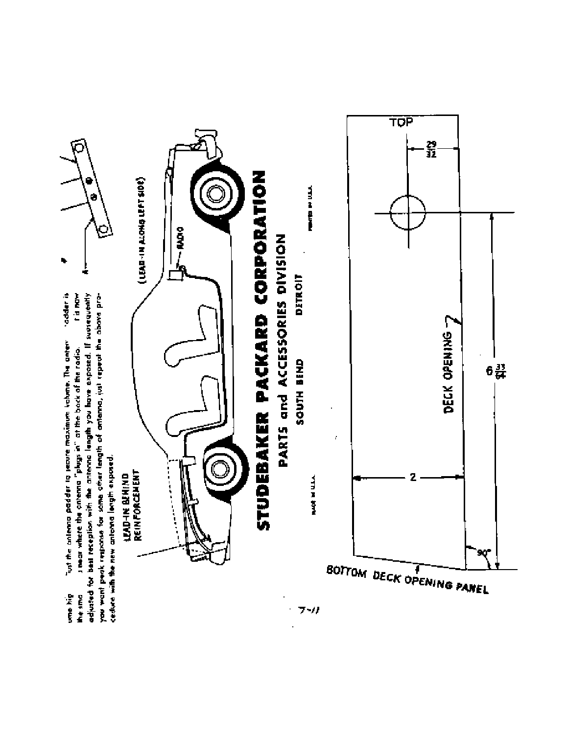